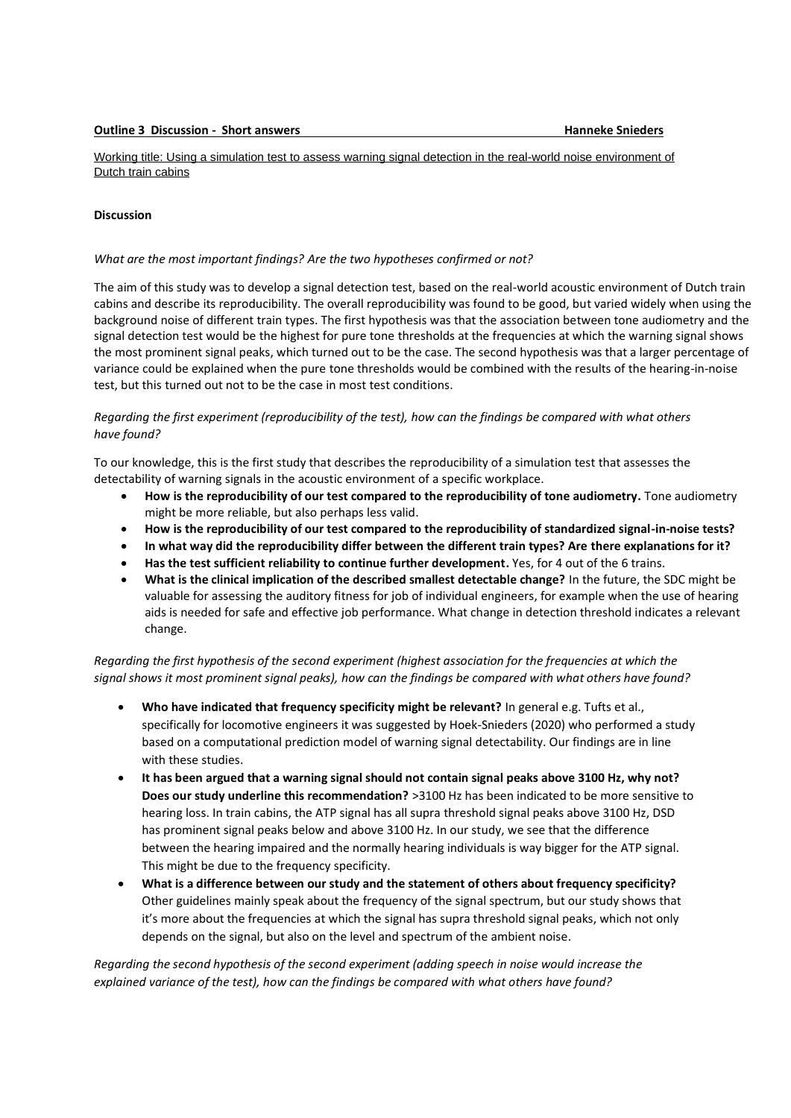Working title: Using a simulation test to assess warning signal detection in the real-world noise environment of Dutch train cabins

## **Discussion**

## *What are the most important findings? Are the two hypotheses confirmed or not?*

The aim of this study was to develop a signal detection test, based on the real-world acoustic environment of Dutch train cabins and describe its reproducibility. The overall reproducibility was found to be good, but varied widely when using the background noise of different train types. The first hypothesis was that the association between tone audiometry and the signal detection test would be the highest for pure tone thresholds at the frequencies at which the warning signal shows the most prominent signal peaks, which turned out to be the case. The second hypothesis was that a larger percentage of variance could be explained when the pure tone thresholds would be combined with the results of the hearing-in-noise test, but this turned out not to be the case in most test conditions.

## *Regarding the first experiment (reproducibility of the test), how can the findings be compared with what others have found?*

To our knowledge, this is the first study that describes the reproducibility of a simulation test that assesses the detectability of warning signals in the acoustic environment of a specific workplace.

- **How is the reproducibility of our test compared to the reproducibility of tone audiometry.** Tone audiometry might be more reliable, but also perhaps less valid.
- **How is the reproducibility of our test compared to the reproducibility of standardized signal-in-noise tests?**
- **In what way did the reproducibility differ between the different train types? Are there explanations for it?**
- **Has the test sufficient reliability to continue further development.** Yes, for 4 out of the 6 trains.
- **What is the clinical implication of the described smallest detectable change?** In the future, the SDC might be valuable for assessing the auditory fitness for job of individual engineers, for example when the use of hearing aids is needed for safe and effective job performance. What change in detection threshold indicates a relevant change.

*Regarding the first hypothesis of the second experiment (highest association for the frequencies at which the signal shows it most prominent signal peaks), how can the findings be compared with what others have found?*

- **Who have indicated that frequency specificity might be relevant?** In general e.g. Tufts et al., specifically for locomotive engineers it was suggested by Hoek-Snieders (2020) who performed a study based on a computational prediction model of warning signal detectability. Our findings are in line with these studies.
- **It has been argued that a warning signal should not contain signal peaks above 3100 Hz, why not? Does our study underline this recommendation?** >3100 Hz has been indicated to be more sensitive to hearing loss. In train cabins, the ATP signal has all supra threshold signal peaks above 3100 Hz, DSD has prominent signal peaks below and above 3100 Hz. In our study, we see that the difference between the hearing impaired and the normally hearing individuals is way bigger for the ATP signal. This might be due to the frequency specificity.
- **What is a difference between our study and the statement of others about frequency specificity?**  Other guidelines mainly speak about the frequency of the signal spectrum, but our study shows that it's more about the frequencies at which the signal has supra threshold signal peaks, which not only depends on the signal, but also on the level and spectrum of the ambient noise.

*Regarding the second hypothesis of the second experiment (adding speech in noise would increase the explained variance of the test), how can the findings be compared with what others have found?*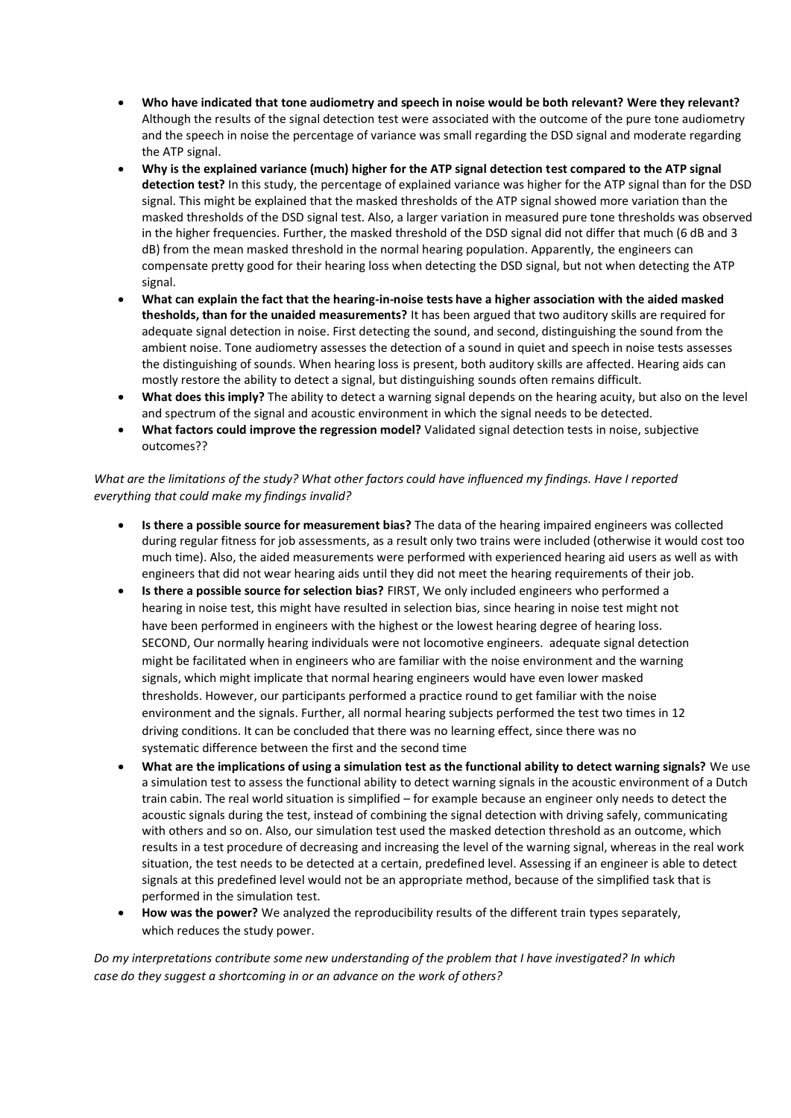- **Who have indicated that tone audiometry and speech in noise would be both relevant? Were they relevant?**  Although the results of the signal detection test were associated with the outcome of the pure tone audiometry and the speech in noise the percentage of variance was small regarding the DSD signal and moderate regarding the ATP signal.
- **Why is the explained variance (much) higher for the ATP signal detection test compared to the ATP signal detection test?** In this study, the percentage of explained variance was higher for the ATP signal than for the DSD signal. This might be explained that the masked thresholds of the ATP signal showed more variation than the masked thresholds of the DSD signal test. Also, a larger variation in measured pure tone thresholds was observed in the higher frequencies. Further, the masked threshold of the DSD signal did not differ that much (6 dB and 3 dB) from the mean masked threshold in the normal hearing population. Apparently, the engineers can compensate pretty good for their hearing loss when detecting the DSD signal, but not when detecting the ATP signal.
- **What can explain the fact that the hearing-in-noise tests have a higher association with the aided masked thesholds, than for the unaided measurements?** It has been argued that two auditory skills are required for adequate signal detection in noise. First detecting the sound, and second, distinguishing the sound from the ambient noise. Tone audiometry assesses the detection of a sound in quiet and speech in noise tests assesses the distinguishing of sounds. When hearing loss is present, both auditory skills are affected. Hearing aids can mostly restore the ability to detect a signal, but distinguishing sounds often remains difficult.
- **What does this imply?** The ability to detect a warning signal depends on the hearing acuity, but also on the level and spectrum of the signal and acoustic environment in which the signal needs to be detected.
- **What factors could improve the regression model?** Validated signal detection tests in noise, subjective outcomes??

## *What are the limitations of the study? What other factors could have influenced my findings. Have I reported everything that could make my findings invalid?*

- **Is there a possible source for measurement bias?** The data of the hearing impaired engineers was collected during regular fitness for job assessments, as a result only two trains were included (otherwise it would cost too much time). Also, the aided measurements were performed with experienced hearing aid users as well as with engineers that did not wear hearing aids until they did not meet the hearing requirements of their job.
- **Is there a possible source for selection bias?** FIRST, We only included engineers who performed a hearing in noise test, this might have resulted in selection bias, since hearing in noise test might not have been performed in engineers with the highest or the lowest hearing degree of hearing loss. SECOND, Our normally hearing individuals were not locomotive engineers. adequate signal detection might be facilitated when in engineers who are familiar with the noise environment and the warning signals, which might implicate that normal hearing engineers would have even lower masked thresholds. However, our participants performed a practice round to get familiar with the noise environment and the signals. Further, all normal hearing subjects performed the test two times in 12 driving conditions. It can be concluded that there was no learning effect, since there was no systematic difference between the first and the second time
- **What are the implications of using a simulation test as the functional ability to detect warning signals?** We use a simulation test to assess the functional ability to detect warning signals in the acoustic environment of a Dutch train cabin. The real world situation is simplified – for example because an engineer only needs to detect the acoustic signals during the test, instead of combining the signal detection with driving safely, communicating with others and so on. Also, our simulation test used the masked detection threshold as an outcome, which results in a test procedure of decreasing and increasing the level of the warning signal, whereas in the real work situation, the test needs to be detected at a certain, predefined level. Assessing if an engineer is able to detect signals at this predefined level would not be an appropriate method, because of the simplified task that is performed in the simulation test.
- **How was the power?** We analyzed the reproducibility results of the different train types separately, which reduces the study power.

*Do my interpretations contribute some new understanding of the problem that I have investigated? In which case do they suggest a shortcoming in or an advance on the work of others?*